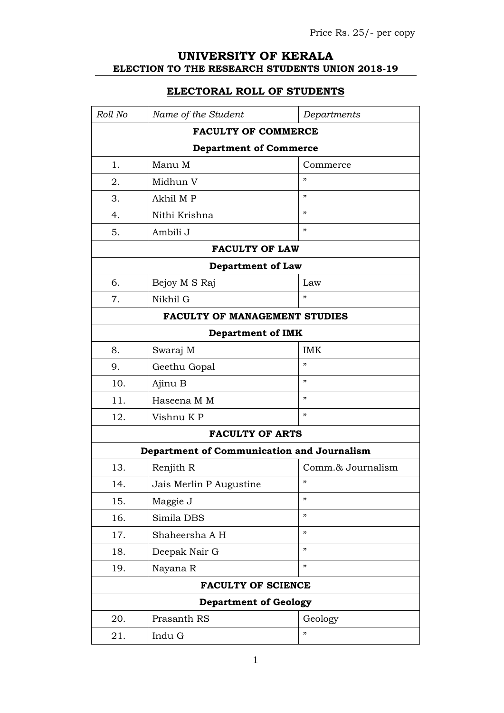## **UNIVERSITY OF KERALA ELECTION TO THE RESEARCH STUDENTS UNION 2018-19**

## **ELECTORAL ROLL OF STUDENTS**

| Roll No                       | Name of the Student                        | Departments                |  |
|-------------------------------|--------------------------------------------|----------------------------|--|
| <b>FACULTY OF COMMERCE</b>    |                                            |                            |  |
| <b>Department of Commerce</b> |                                            |                            |  |
| 1.                            | Manu M                                     | Commerce                   |  |
| 2.                            | Midhun V                                   | , 2                        |  |
| 3.                            | Akhil M P                                  | , 2                        |  |
| 4.                            | Nithi Krishna                              | , 22                       |  |
| 5.                            | Ambili J                                   | , 2                        |  |
|                               | <b>FACULTY OF LAW</b>                      |                            |  |
|                               | <b>Department of Law</b>                   |                            |  |
| 6.                            | Bejoy M S Raj                              | Law                        |  |
| 7.                            | Nikhil G                                   | "                          |  |
|                               | <b>FACULTY OF MANAGEMENT STUDIES</b>       |                            |  |
|                               | <b>Department of IMK</b>                   |                            |  |
| 8.                            | Swaraj M                                   | <b>IMK</b>                 |  |
| 9.                            | Geethu Gopal                               | ,                          |  |
| 10.                           | Ajinu B                                    | , 2                        |  |
| 11.                           | Haseena M M                                | , 2                        |  |
| 12.                           | Vishnu KP                                  | ,                          |  |
|                               | <b>FACULTY OF ARTS</b>                     |                            |  |
|                               | Department of Communication and Journalism |                            |  |
| 13.                           | Renjith R                                  | Comm.& Journalism          |  |
| 14.                           | Jais Merlin P Augustine                    | "                          |  |
| 15.                           | Maggie J                                   | , 2                        |  |
| 16.                           | Simila DBS                                 | , 2                        |  |
| 17.                           | Shaheersha A H                             | , 2                        |  |
| 18.                           | Deepak Nair G                              | , 2                        |  |
| 19.                           | Nayana R                                   | $\boldsymbol{\mathcal{D}}$ |  |
|                               | <b>FACULTY OF SCIENCE</b>                  |                            |  |
| <b>Department of Geology</b>  |                                            |                            |  |
| 20.                           | Prasanth RS                                | Geology                    |  |
| 21.                           | Indu G                                     | , 2                        |  |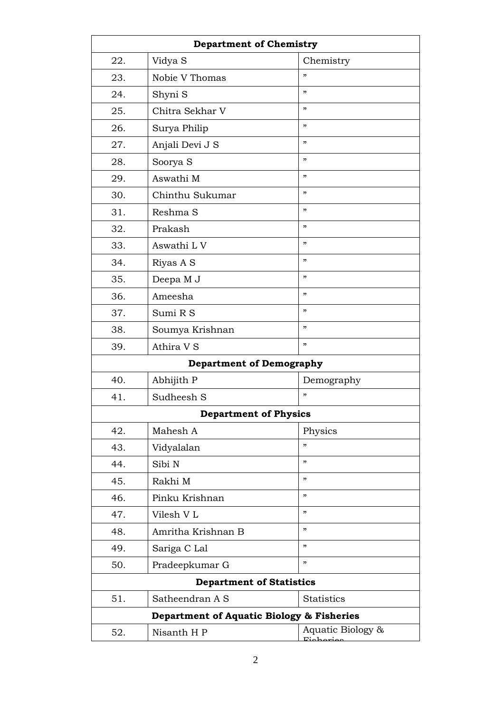| <b>Department of Chemistry</b>            |                                 |                                |
|-------------------------------------------|---------------------------------|--------------------------------|
| 22.                                       | Vidya S                         | Chemistry                      |
| 23.                                       | Nobie V Thomas                  | , 2                            |
| 24.                                       | Shyni S                         | ,                              |
| 25.                                       | Chitra Sekhar V                 | , 2                            |
| 26.                                       | Surya Philip                    | , 2                            |
| 27.                                       | Anjali Devi J S                 | , 2                            |
| 28.                                       | Soorya S                        | , 2                            |
| 29.                                       | Aswathi M                       | , 2                            |
| 30.                                       | Chinthu Sukumar                 | , 2                            |
| 31.                                       | Reshma S                        | , 2                            |
| 32.                                       | Prakash                         | ,                              |
| 33.                                       | Aswathi L V                     | , 2                            |
| 34.                                       | Riyas A S                       | , 2                            |
| 35.                                       | Deepa M J                       | , 2                            |
| 36.                                       | Ameesha                         | ,                              |
| 37.                                       | Sumi R S                        | , 2                            |
| 38.                                       | Soumya Krishnan                 | , 2                            |
| 39.                                       | Athira V S                      | , 2                            |
|                                           | <b>Department of Demography</b> |                                |
| 40.                                       | Abhijith P                      | Demography                     |
| 41.                                       | Sudheesh S                      | ,                              |
|                                           | <b>Department of Physics</b>    |                                |
| 42.                                       | Mahesh A                        | Physics                        |
| 43.                                       | Vidyalalan                      | ,                              |
| 44.                                       | Sibi N                          | , 2                            |
| 45.                                       | Rakhi M                         | , 2, 3                         |
| 46.                                       | Pinku Krishnan                  | , 2                            |
| 47.                                       | Vilesh VL                       | , 2                            |
| 48.                                       | Amritha Krishnan B              | , 2                            |
| 49.                                       | Sariga C Lal                    | , 2                            |
| 50.                                       | Pradeepkumar G                  | , 2                            |
| <b>Department of Statistics</b>           |                                 |                                |
| 51.                                       | Satheendran A S                 | <b>Statistics</b>              |
| Department of Aquatic Biology & Fisheries |                                 |                                |
| 52.                                       | Nisanth H P                     | Aquatic Biology &<br>منعمطمنته |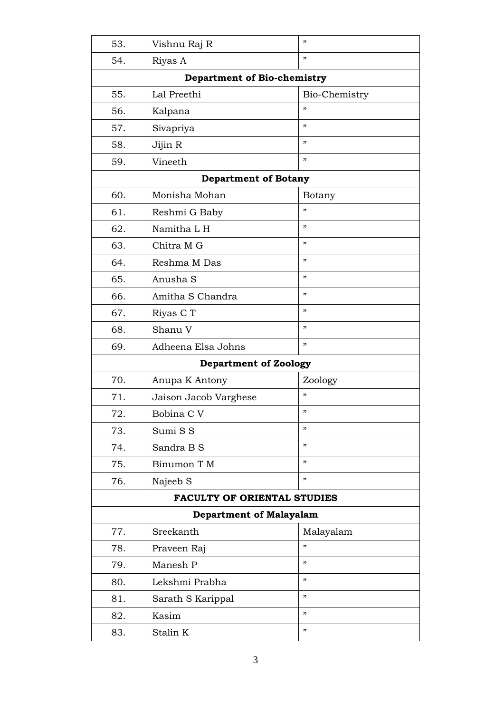| 53.                                | Vishnu Raj R                 | "             |  |
|------------------------------------|------------------------------|---------------|--|
| 54.                                | Riyas A                      | "             |  |
| <b>Department of Bio-chemistry</b> |                              |               |  |
| 55.                                | Lal Preethi                  | Bio-Chemistry |  |
| 56.                                | Kalpana                      | , 2           |  |
| 57.                                | Sivapriya                    | "             |  |
| 58.                                | Jijin R                      | "             |  |
| 59.                                | Vineeth                      | , 2           |  |
| <b>Department of Botany</b>        |                              |               |  |
| 60.                                | Monisha Mohan                | Botany        |  |
| 61.                                | Reshmi G Baby                | "             |  |
| 62.                                | Namitha L H                  | , 2           |  |
| 63.                                | Chitra M G                   | , 2           |  |
| 64.                                | Reshma M Das                 | "             |  |
| 65.                                | Anusha S                     | "             |  |
| 66.                                | Amitha S Chandra             | , 2           |  |
| 67.                                | Riyas C T                    | "             |  |
| 68.                                | Shanu V                      | "             |  |
| 69.                                | Adheena Elsa Johns           | "             |  |
|                                    | <b>Department of Zoology</b> |               |  |
| 70.                                | Anupa K Antony               | Zoology       |  |
| 71.                                | Jaison Jacob Varghese        | "             |  |
| 72.                                | Bobina C V                   | "             |  |
| 73.                                | Sumi S S                     | , 2           |  |
| 74.                                | Sandra B S                   | "             |  |
| 75.                                | Binumon T M                  | "             |  |
| 76.                                | Najeeb S                     | "             |  |
| <b>FACULTY OF ORIENTAL STUDIES</b> |                              |               |  |
| <b>Department of Malayalam</b>     |                              |               |  |
| 77.                                | Sreekanth                    | Malayalam     |  |
| 78.                                | Praveen Raj                  | "             |  |
| 79.                                | Manesh P                     | "             |  |
| 80.                                | Lekshmi Prabha               | "             |  |
| 81.                                | Sarath S Karippal            | "             |  |
| 82.                                | Kasim                        | "             |  |
| 83.                                | Stalin K                     | "             |  |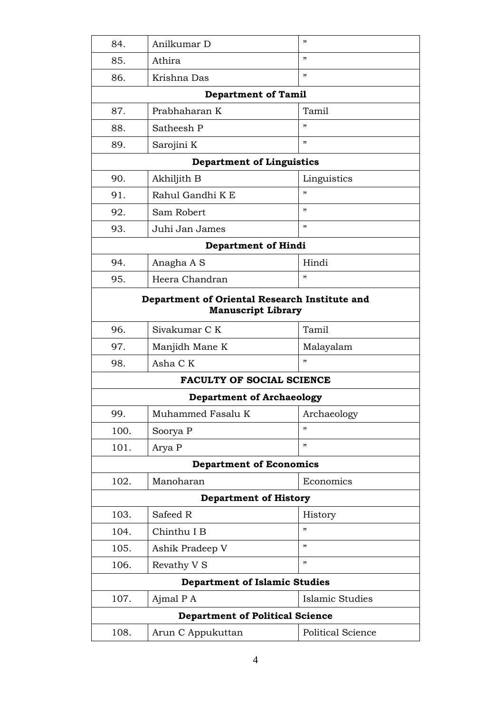| 84.                                                                        | Anilkumar D                      | , 2               |
|----------------------------------------------------------------------------|----------------------------------|-------------------|
| 85.                                                                        | Athira                           | , 2               |
| 86.                                                                        | Krishna Das                      | ,                 |
|                                                                            | <b>Department of Tamil</b>       |                   |
| 87.                                                                        | Prabhaharan K                    | Tamil             |
| 88.                                                                        | Satheesh P                       | "                 |
| 89.                                                                        | Sarojini K                       | ,                 |
|                                                                            | <b>Department of Linguistics</b> |                   |
| 90.                                                                        | Akhiljith B                      | Linguistics       |
| 91.                                                                        | Rahul Gandhi K E                 | "                 |
| 92.                                                                        | Sam Robert                       | , 2               |
| 93.                                                                        | Juhi Jan James                   | , 2               |
|                                                                            | <b>Department of Hindi</b>       |                   |
| 94.                                                                        | Anagha A S                       | Hindi             |
| 95.                                                                        | Heera Chandran                   | , 2               |
| Department of Oriental Research Institute and<br><b>Manuscript Library</b> |                                  |                   |
| 96.                                                                        | Sivakumar C K                    | Tamil             |
| 97.                                                                        | Manjidh Mane K                   | Malayalam         |
| 98.                                                                        | Asha C K                         | , 2               |
|                                                                            | <b>FACULTY OF SOCIAL SCIENCE</b> |                   |
|                                                                            | <b>Department of Archaeology</b> |                   |
| 99.                                                                        | Muhammed Fasalu K                | Archaeology       |
| 100.                                                                       | Soorya P                         | , 2               |
| 101.                                                                       | Arya P                           | , 2               |
|                                                                            | <b>Department of Economics</b>   |                   |
| 102.                                                                       | Manoharan                        | Economics         |
| <b>Department of History</b>                                               |                                  |                   |
| 103.                                                                       | Safeed R                         | History           |
| 104.                                                                       | Chinthu I B                      | , 2               |
| 105.                                                                       | Ashik Pradeep V                  | , 2               |
| 106.                                                                       | Revathy V S                      | ,                 |
| <b>Department of Islamic Studies</b>                                       |                                  |                   |
| 107.                                                                       | Ajmal P A                        | Islamic Studies   |
| <b>Department of Political Science</b>                                     |                                  |                   |
| 108.                                                                       | Arun C Appukuttan                | Political Science |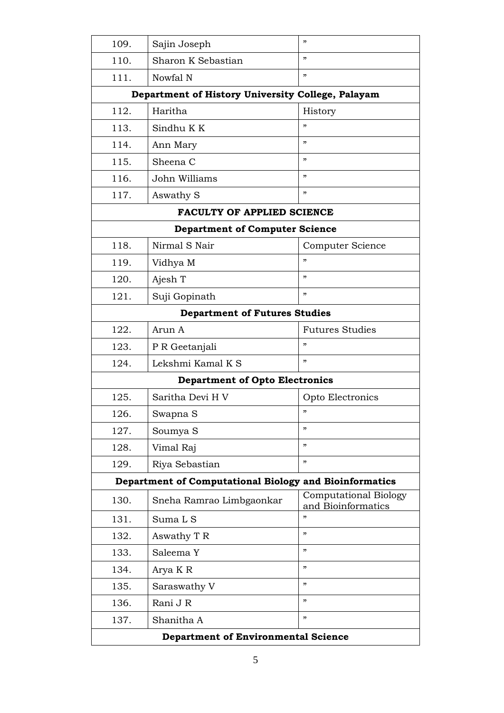| 109.                                                   | Sajin Joseph                                      | "                                                  |
|--------------------------------------------------------|---------------------------------------------------|----------------------------------------------------|
| 110.                                                   | Sharon K Sebastian                                | "                                                  |
| 111.                                                   | Nowfal N                                          | ,                                                  |
|                                                        | Department of History University College, Palayam |                                                    |
| 112.                                                   | Haritha                                           | History                                            |
| 113.                                                   | Sindhu K K                                        | "                                                  |
| 114.                                                   | Ann Mary                                          | ,                                                  |
| 115.                                                   | Sheena C                                          | ,                                                  |
| 116.                                                   | John Williams                                     | , 2                                                |
| 117.                                                   | Aswathy S                                         | , 2                                                |
|                                                        | <b>FACULTY OF APPLIED SCIENCE</b>                 |                                                    |
|                                                        | <b>Department of Computer Science</b>             |                                                    |
| 118.                                                   | Nirmal S Nair                                     | Computer Science                                   |
| 119.                                                   | Vidhya M                                          | , 2                                                |
| 120.                                                   | Ajesh T                                           | "                                                  |
| 121.                                                   | Suji Gopinath                                     | ,                                                  |
| <b>Department of Futures Studies</b>                   |                                                   |                                                    |
| 122.                                                   | Arun A                                            | <b>Futures Studies</b>                             |
| 123.                                                   | P R Geetanjali                                    | , 2                                                |
| 124.                                                   | Lekshmi Kamal K S                                 | , 2                                                |
|                                                        | <b>Department of Opto Electronics</b>             |                                                    |
| 125.                                                   | Saritha Devi H V                                  | Opto Electronics                                   |
| 126.                                                   | Swapna S                                          | "                                                  |
| 127.                                                   | Soumya S                                          | ,                                                  |
| 128.                                                   | Vimal Raj                                         | ,                                                  |
| 129.                                                   | Riya Sebastian                                    | , 2                                                |
| Department of Computational Biology and Bioinformatics |                                                   |                                                    |
| 130.                                                   | Sneha Ramrao Limbgaonkar                          | <b>Computational Biology</b><br>and Bioinformatics |
| 131.                                                   | Suma L S                                          | , 2                                                |
| 132.                                                   | Aswathy T R                                       | ,                                                  |
| 133.                                                   | Saleema Y                                         | ,                                                  |
| 134.                                                   | Arya K R                                          | , 2                                                |
| 135.                                                   | Saraswathy V                                      | , 2                                                |
| 136.                                                   | Rani J R                                          | , 2                                                |
| 137.                                                   | Shanitha A                                        | "                                                  |
| <b>Department of Environmental Science</b>             |                                                   |                                                    |